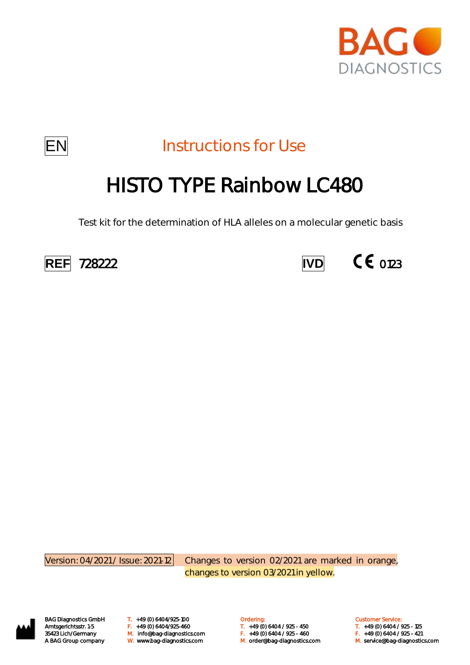



**EN** Instructions for Use

# HISTO TYPE Rainbow LC480

Test kit for the determination of HLA alleles on a molecular genetic basis





Version: 04/2021 / Issue: 2021-12 Changes to version 02/2021 are marked in orange, changes to version 03/2021 in yellow.



BAG Diagnostics GmbH T. +49 (0) 6404/925-100 **Cambridge Condering:** Customer Service: Customer Service: M. orderlang-35423 Lich/Germany **F.** +49 (0) 6404/925-460 **T.** +49 (0) 6404 / 925 - 450 T. +49 (0) 6404 / 925 - 125<br>35423 Lich/Germany M. Info@bag-diagnostics.com F. +49 (0) 6404 / 925 - 460 F. +49 (0) 6404 / 925 - 421

Amtsgerichtsstr. 1-5 F. +49 (0) 6404/925-460 T. +49 (0) 6404 / 925 - 450 T. +49 (0) 6404 / 925 - 125 A BAG Group company W. www.bag-diagnostics.com M. order@bag-diagnostics.com M. service@bag-diagnostics.com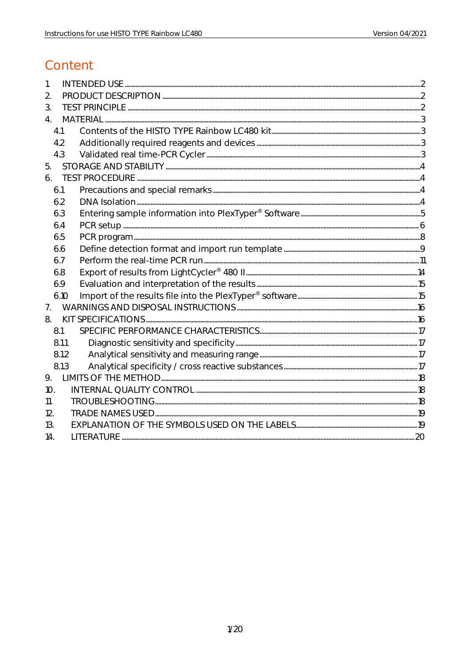## Content

| 1.               |  |
|------------------|--|
| 2.               |  |
| 3.               |  |
| $\overline{4}$ . |  |
| 4.1              |  |
| 4.2              |  |
| 4.3              |  |
| 5.               |  |
| 6.               |  |
| 6.1              |  |
| 6.2              |  |
| 6.3              |  |
| 6.4              |  |
| 6.5              |  |
| 6.6              |  |
| 6.7              |  |
| 6.8              |  |
| 6.9              |  |
| 6.10             |  |
| 7 <sub>1</sub>   |  |
| 8.               |  |
| 8.1              |  |
| 8.1.1            |  |
| 8.1.2            |  |
| 8.1.3            |  |
| 9.               |  |
| 10.              |  |
| 11.              |  |
| 12.              |  |
| 13.              |  |
| 14.              |  |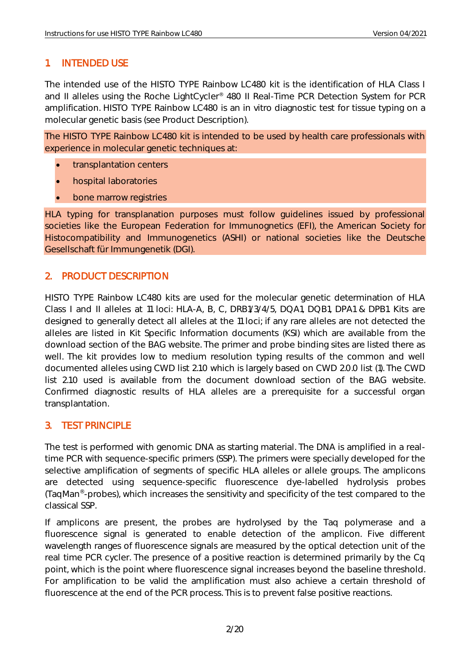## <span id="page-2-0"></span>1. INTENDED USE

The intended use of the HISTO TYPE Rainbow LC480 kit is the identification of HLA Class I and II alleles using the Roche LightCycler® 480 II Real-Time PCR Detection System for PCR amplification. HISTO TYPE Rainbow LC480 is an in vitro diagnostic test for tissue typing on a molecular genetic basis (see Product Description).

The HISTO TYPE Rainbow LC480 kit is intended to be used by health care professionals with experience in molecular genetic techniques at:

- transplantation centers
- hospital laboratories
- bone marrow registries

HLA typing for transplanation purposes must follow guidelines issued by professional societies like the European Federation for Immunognetics (EFI), the American Society for Histocompatibility and Immunogenetics (ASHI) or national societies like the Deutsche Gesellschaft für Immungenetik (DGI).

## <span id="page-2-1"></span>2. PRODUCT DESCRIPTION

HISTO TYPE Rainbow LC480 kits are used for the molecular genetic determination of HLA Class I and II alleles at 11 loci: HLA-A, B, C, DRB1/3/4/5, DQA1, DQB1, DPA1 & DPB1. Kits are designed to generally detect all alleles at the 11 loci; if any rare alleles are not detected the alleles are listed in Kit Specific Information documents (KSI) which are available from the download section of the BAG website. The primer and probe binding sites are listed there as well. The kit provides low to medium resolution typing results of the common and well documented alleles using CWD list 2.1.0 which is largely based on CWD 2.0.0 list (1). The CWD list 2.1.0 used is available from the document download section of the BAG website. Confirmed diagnostic results of HLA alleles are a prerequisite for a successful organ transplantation.

## <span id="page-2-2"></span>3. TEST PRINCIPLE

The test is performed with genomic DNA as starting material. The DNA is amplified in a realtime PCR with sequence-specific primers (SSP). The primers were specially developed for the selective amplification of segments of specific HLA alleles or allele groups. The amplicons are detected using sequence-specific fluorescence dye-labelled hydrolysis probes (TaqMan® -probes), which increases the sensitivity and specificity of the test compared to the classical SSP.

If amplicons are present, the probes are hydrolysed by the Taq polymerase and a fluorescence signal is generated to enable detection of the amplicon. Five different wavelength ranges of fluorescence signals are measured by the optical detection unit of the real time PCR cycler. The presence of a positive reaction is determined primarily by the Cq point, which is the point where fluorescence signal increases beyond the baseline threshold. For amplification to be valid the amplification must also achieve a certain threshold of fluorescence at the end of the PCR process. This is to prevent false positive reactions.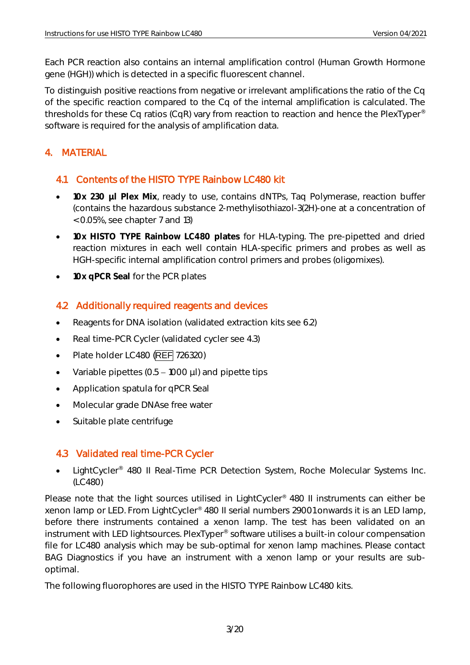Each PCR reaction also contains an internal amplification control (Human Growth Hormone gene (HGH)) which is detected in a specific fluorescent channel.

To distinguish positive reactions from negative or irrelevant amplifications the ratio of the Cq of the specific reaction compared to the Cq of the internal amplification is calculated. The thresholds for these Cq ratios (CqR) vary from reaction to reaction and hence the PlexTyper® software is required for the analysis of amplification data.

## <span id="page-3-0"></span>4. MATERIAL

## <span id="page-3-1"></span>4.1 Contents of the HISTO TYPE Rainbow LC480 kit

- **10x 230 µl Plex Mix**, ready to use, contains dNTPs, Taq Polymerase, reaction buffer (contains the hazardous substance 2-methylisothiazol-3(2H)-one at a concentration of < 0.05%, see chapter 7 and 13)
- **10x HISTO TYPE Rainbow LC480 plates** for HLA-typing. The pre-pipetted and dried reaction mixtures in each well contain HLA-specific primers and probes as well as HGH-specific internal amplification control primers and probes (oligomixes).
- **10x qPCR Seal** for the PCR plates

## <span id="page-3-2"></span>4.2 Additionally required reagents and devices

- Reagents for DNA isolation (validated extraction kits see 6.2)
- Real time-PCR Cycler (validated cycler see 4.3)
- Plate holder LC480 (REF 726320)
- Variable pipettes  $(0.5 1000 \mu l)$  and pipette tips
- Application spatula for qPCR Seal
- Molecular grade DNAse free water
- Suitable plate centrifuge

## <span id="page-3-3"></span>4.3 Validated real time-PCR Cycler

• LightCycler<sup>®</sup> 480 II Real-Time PCR Detection System, Roche Molecular Systems Inc. (LC480)

Please note that the light sources utilised in LightCycler<sup>®</sup> 480 II instruments can either be xenon lamp or LED. From LightCycler® 480 II serial numbers 29001 onwards it is an LED lamp, before there instruments contained a xenon lamp. The test has been validated on an instrument with LED lightsources. PlexTyper® software utilises a built-in colour compensation file for LC480 analysis which may be sub-optimal for xenon lamp machines. Please contact BAG Diagnostics if you have an instrument with a xenon lamp or your results are suboptimal.

The following fluorophores are used in the HISTO TYPE Rainbow LC480 kits.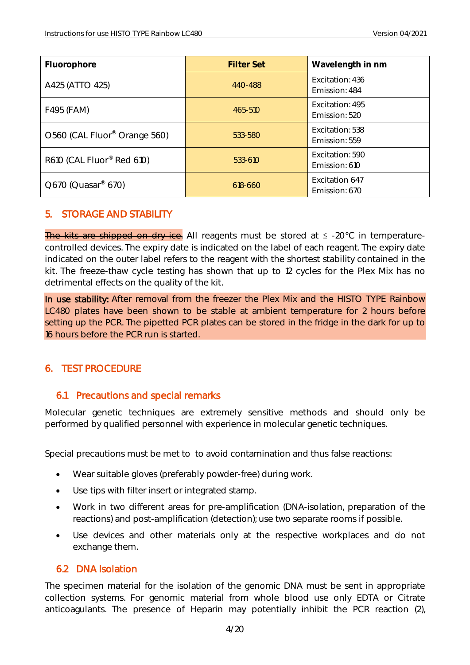| Fluorophore                              | <b>Filter Set</b> | Wavelength in nm                 |
|------------------------------------------|-------------------|----------------------------------|
| A425 (ATTO 425)                          | 440-488           | Excitation: 436<br>Emission: 484 |
| F495 (FAM)                               | 465-510           | Excitation: 495<br>Emission: 520 |
| O560 (CAL Fluor <sup>®</sup> Orange 560) | 533-580           | Excitation: 538<br>Emission: 559 |
| R610 (CAL Fluor® Red 610)                | 533-610           | Excitation: 590<br>Emission: 610 |
| Q670 (Quasar <sup>®</sup> 670)           | 618-660           | Excitation 647<br>Emission: 670  |

#### <span id="page-4-0"></span>5. STORAGE AND STABILITY

The kits are shipped on dry ice. All reagents must be stored at  $\leq$  -20°C in temperaturecontrolled devices. The expiry date is indicated on the label of each reagent. The expiry date indicated on the outer label refers to the reagent with the shortest stability contained in the kit. The freeze-thaw cycle testing has shown that up to 12 cycles for the Plex Mix has no detrimental effects on the quality of the kit.

In use stability: After removal from the freezer the Plex Mix and the HISTO TYPE Rainbow LC480 plates have been shown to be stable at ambient temperature for 2 hours before setting up the PCR. The pipetted PCR plates can be stored in the fridge in the dark for up to 16 hours before the PCR run is started.

#### <span id="page-4-1"></span>6. TEST PROCEDURE

#### <span id="page-4-2"></span>6.1 Precautions and special remarks

Molecular genetic techniques are extremely sensitive methods and should only be performed by qualified personnel with experience in molecular genetic techniques.

Special precautions must be met to to avoid contamination and thus false reactions:

- Wear suitable gloves (preferably powder-free) during work.
- Use tips with filter insert or integrated stamp.
- Work in two different areas for pre-amplification (DNA-isolation, preparation of the reactions) and post-amplification (detection); use two separate rooms if possible.
- Use devices and other materials only at the respective workplaces and do not exchange them.

#### <span id="page-4-3"></span>6.2 DNA Isolation

The specimen material for the isolation of the genomic DNA must be sent in appropriate collection systems. For genomic material from whole blood use only EDTA or Citrate anticoagulants. The presence of Heparin may potentially inhibit the PCR reaction (2),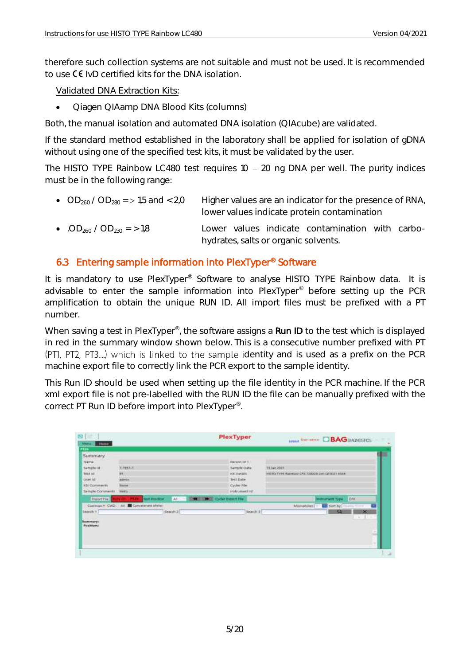therefore such collection systems are not suitable and must not be used. It is recommended to use  $\mathsf C \mathsf {\mathsf F}$  IvD certified kits for the DNA isolation.

Validated DNA Extraction Kits:

• Qiagen QIAamp DNA Blood Kits (columns)

Both, the manual isolation and automated DNA isolation (QIAcube) are validated.

If the standard method established in the laboratory shall be applied for isolation of gDNA without using one of the specified test kits, it must be validated by the user.

The HISTO TYPE Rainbow LC480 test requires  $10 - 20$  ng DNA per well. The purity indices must be in the following range:

| • OD <sub>260</sub> / OD <sub>280</sub> = > 1,5 and < 2,0 | Higher values are an indicator for the presence of RNA,<br>lower values indicate protein contamination |  |
|-----------------------------------------------------------|--------------------------------------------------------------------------------------------------------|--|
| • .OD <sub>260</sub> / OD <sub>230</sub> = > 1.8          | Lower values indicate contamination with carbo-<br>hydrates, salts or organic solvents.                |  |

#### <span id="page-5-0"></span>6.3 Entering sample information into PlexTyper® Software

It is mandatory to use PlexTyper<sup>®</sup> Software to analyse HISTO TYPE Rainbow data. It is advisable to enter the sample information into PlexTyper® before setting up the PCR amplification to obtain the unique RUN ID. All import files must be prefixed with a PT number.

When saving a test in PlexTyper<sup>®</sup>, the software assigns a Run ID to the test which is displayed in red in the summary window shown below. This is a consecutive number prefixed with PT (PTI, PT2, PT3....) which is linked to the sample identity and is used as a prefix on the PCR machine export file to correctly link the PCR export to the sample identity.

This Run ID should be used when setting up the file identity in the PCR machine. If the PCR xml export file is not pre-labelled with the RUN ID the file can be manually prefixed with the correct PT Run ID before import into PlexTyper® .

<span id="page-5-1"></span>

| 图                                             |                                          | PlexTyper                            | <b>Longal View Interior C BAG DIADACETICS</b>  |
|-----------------------------------------------|------------------------------------------|--------------------------------------|------------------------------------------------|
| Merie<br><b>Silvers</b>                       |                                          |                                      |                                                |
| <u>rt.in</u>                                  |                                          |                                      |                                                |
| Summary                                       |                                          |                                      |                                                |
| <b>Name</b>                                   |                                          | <b>Patton Id 1</b>                   |                                                |
| Sample (d)                                    | <b>HITEST-T</b>                          | Sample Date                          | T3 Jan 2011                                    |
| <b>TESTAS</b>                                 | <b>HH</b>                                | Kit Details                          | HISTO TYPE Rainbow CPR 728220 LHC CITOUST RS14 |
| <b><i>LAUNTEET</i></b>                        | <b>Advecia</b>                           | Test Date                            |                                                |
| KSI Comments                                  | Tisme:                                   | Cycler F&e                           |                                                |
| Sample Comments                               | Help:                                    | instrument id:                       |                                                |
| <b>Import Five</b>                            | (41)<br><b>Test Photford</b><br>- 1      | <b>STATE LINES Cycler Copen Five</b> | <b>ICEX</b><br>mittument Type                  |
|                                               | Convenir * CWD : All Entratement effeter |                                      | sort by<br>Militipodaes                        |
| Bearch 9.                                     | Search 2                                 | <b>Newch 3</b>                       | $\infty$<br>Q                                  |
| <b>CONTRACTOR</b>                             |                                          |                                      |                                                |
| <b><i><u>Senatomery!</u></i></b><br>Positives |                                          |                                      |                                                |
|                                               |                                          |                                      |                                                |
|                                               |                                          |                                      | ×<br>m                                         |
|                                               |                                          |                                      |                                                |
|                                               |                                          |                                      | ٠                                              |
|                                               |                                          |                                      |                                                |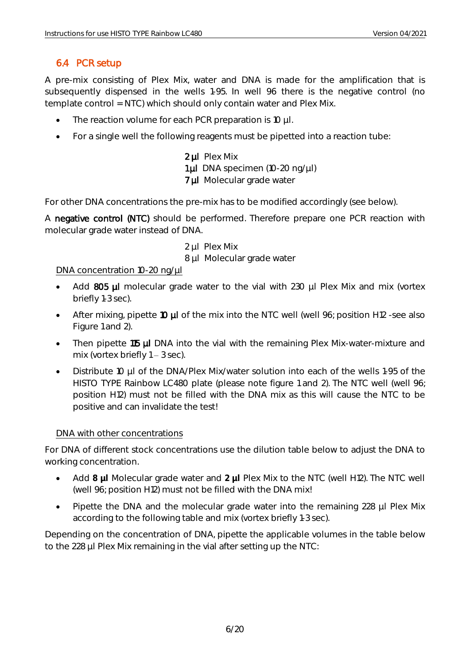## 6.4 PCR setup

A pre-mix consisting of Plex Mix, water and DNA is made for the amplification that is subsequently dispensed in the wells 1-95. In well 96 there is the negative control (no template control = NTC) which should only contain water and Plex Mix.

- The reaction volume for each PCR preparation is 10 µl.
- For a single well the following reagents must be pipetted into a reaction tube:

2 µl Plex Mix 1 µl DNA specimen (10-20 ng/µl) 7 µl Molecular grade water

For other DNA concentrations the pre-mix has to be modified accordingly (see below).

A negative control (NTC) should be performed. Therefore prepare one PCR reaction with molecular grade water instead of DNA.

- 2 ul Plex Mix
- 8 µl Molecular grade water

#### DNA concentration 10-20 ng/µl

- Add 805 µl molecular grade water to the vial with 230 µl Plex Mix and mix (vortex briefly 1-3 sec).
- After mixing, pipette 10 µl of the mix into the NTC well (well 96; position H12 -see also Figure 1 and 2).
- Then pipette 115 µl DNA into the vial with the remaining Plex Mix-water-mixture and mix (vortex briefly  $1 - 3$  sec).
- Distribute 10 µl of the DNA/Plex Mix/water solution into each of the wells 1-95 of the HISTO TYPE Rainbow LC480 plate (please note figure 1 and 2). The NTC well (well 96; position H12) must not be filled with the DNA mix as this will cause the NTC to be positive and can invalidate the test!

#### DNA with other concentrations

For DNA of different stock concentrations use the dilution table below to adjust the DNA to working concentration.

- Add **8 µl** Molecular grade water and **2 µl** Plex Mix to the NTC (well H12). The NTC well (well 96; position H12) must not be filled with the DNA mix!
- Pipette the DNA and the molecular grade water into the remaining 228 µl Plex Mix according to the following table and mix (vortex briefly 1-3 sec).

Depending on the concentration of DNA, pipette the applicable volumes in the table below to the 228 µl Plex Mix remaining in the vial after setting up the NTC: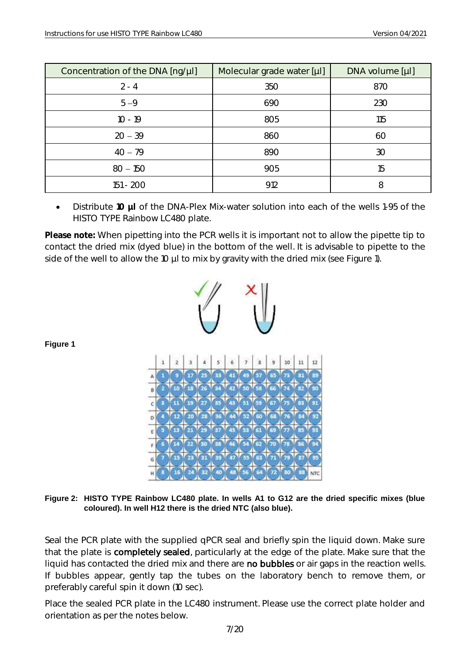| Concentration of the DNA [ng/µl] | Molecular grade water [µl] | DNA volume [µl] |
|----------------------------------|----------------------------|-----------------|
| $2 - 4$                          | 350                        | 870             |
| $5 - 9$                          | 690                        | 230             |
| $10 - 19$                        | 805                        | 115             |
| $20 - 39$                        | 860                        | 60              |
| $40 - 79$                        | 890                        | 30              |
| $80 - 150$                       | 905                        | 15              |
| 151 - 200                        | 912                        | 8               |

• Distribute **10 µl** of the DNA-Plex Mix-water solution into each of the wells 1-95 of the HISTO TYPE Rainbow LC480 plate.

**Please note:** When pipetting into the PCR wells it is important not to allow the pipette tip to contact the dried mix (dyed blue) in the bottom of the well. It is advisable to pipette to the side of the well to allow the 10 µl to mix by gravity with the dried mix (see Figure 1).



**Figure 1**

**Figure 2: HISTO TYPE Rainbow LC480 plate. In wells A1 to G12 are the dried specific mixes (blue coloured). In well H12 there is the dried NTC (also blue).**

Seal the PCR plate with the supplied qPCR seal and briefly spin the liquid down. Make sure that the plate is completely sealed, particularly at the edge of the plate. Make sure that the liquid has contacted the dried mix and there are no bubbles or air gaps in the reaction wells. If bubbles appear, gently tap the tubes on the laboratory bench to remove them, or preferably careful spin it down (10 sec).

Place the sealed PCR plate in the LC480 instrument. Please use the correct plate holder and orientation as per the notes below.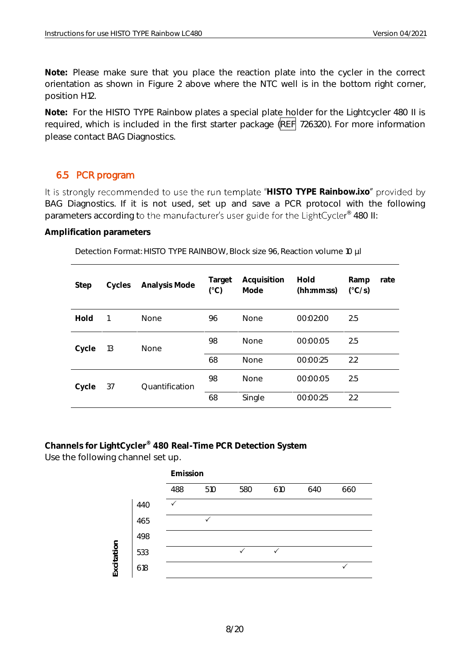**Note:** Please make sure that you place the reaction plate into the cycler in the correct orientation as shown in Figure 2 above where the NTC well is in the bottom right corner, position H12.

**Note:** For the HISTO TYPE Rainbow plates a special plate holder for the Lightcycler 480 II is required, which is included in the first starter package (REF 726320). For more information please contact BAG Diagnostics.

## <span id="page-8-0"></span>6.5 PCR program

It is strongly recommended to use the run template "HISTO TYPE Rainbow.ixo" provided by BAG Diagnostics. If it is not used, set up and save a PCR protocol with the following parameters according to the manufacturer's user guide for the LightCycler® 480 II:

**Amplification parameters**

Detection Format: HISTO TYPE RAINBOW, Block size 96, Reaction volume 10 µl

| Step  | Cycles | Analysis Mode  | Target<br>$(^{\circ}C)$ | Acquisition<br>Mode | Hold<br>(hh:mm:ss) | Ramp<br>$(^{\circ}C/S)$ | rate |
|-------|--------|----------------|-------------------------|---------------------|--------------------|-------------------------|------|
| Hold  |        | None           | 96                      | <b>None</b>         | 00:02:00           | 2.5                     |      |
| Cycle | 13     | None           | 98                      | <b>None</b>         | 00:00:05           | 2.5                     |      |
|       |        |                |                         | <b>None</b>         | 00:00:25           | 2.2                     |      |
| Cycle | 37     | Ouantification | 98                      | <b>None</b>         | 00:00:05           | 2.5                     |      |
|       |        |                | 68                      | Single              | 00:00:25           | 2.2                     |      |

**Channels for LightCycler® 480 Real-Time PCR Detection System** Use the following channel set up.

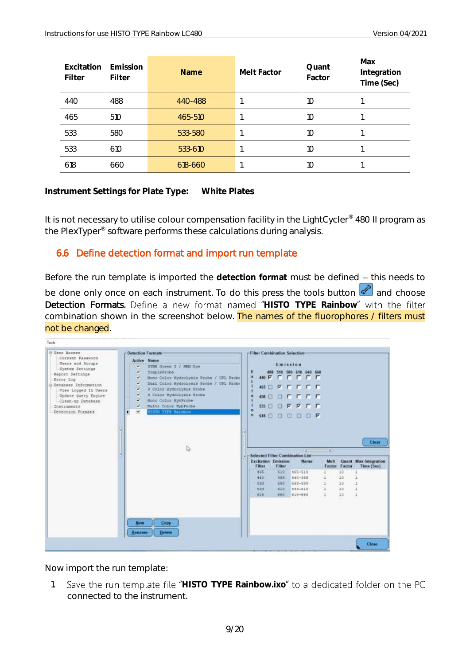| Excitation<br>Filter | Emission<br>Filter | <b>Name</b> | Melt Factor | Quant<br>Factor | Max<br>Integration<br>Time (Sec) |
|----------------------|--------------------|-------------|-------------|-----------------|----------------------------------|
| 440                  | 488                | 440-488     |             | 10              |                                  |
| 465                  | 510                | 465-510     |             | 10              |                                  |
| 533                  | 580                | 533-580     |             | 10              |                                  |
| 533                  | 610                | 533-610     |             | 1O              |                                  |
| 618                  | 660                | 618-660     |             | 10              |                                  |

**Instrument Settings for Plate Type: White Plates**

It is not necessary to utilise colour compensation facility in the LightCycler® 480 II program as the PlexTyper® software performs these calculations during analysis.

## <span id="page-9-0"></span>6.6 Define detection format and import run template

Before the run template is imported the detection format must be defined - this needs to be done only once on each instrument. To do this press the tools button  $\mathscr{L}$  and choose Detection Formats. Define a new format named "HISTO TYPE Rainbow" with the filter combination shown in the screenshot below. The names of the fluorophores / filters must not be changed.

| <b>Ellier Access</b><br>Current Password<br><b>Users end Scoups</b><br>System Settings<br>Report Settings<br>Error Log<br><b>Contractor</b><br>Database Information<br>View Logged In Users<br>Update Query Engine<br>Clean-up Database<br>Inscruments<br>Detection Formats | <b>Detection Formate</b><br><b>Active Name</b><br>٠<br>SYBE Green I / NRM Dye<br><b>THE REP</b><br>SimpleProbe<br>v<br>v<br>Hono Color Hydrolymin Frobe / UPL Frobe<br>Dial Color Hydrolysis Probe / UPL Probe<br>v<br>v<br>3 Color Hydrolysis Prube<br>4 Color Bydrolysis Probe<br>v<br>v<br>Mono Color HybProbe<br>Muiti Color HybProbe<br>v<br>v<br><b>RISTO TIFS Sainbow</b><br>٠ | <b>Filter Combination Selection-</b><br>Emission<br>46<br>Έ<br>488 510 580 610 640 650<br>400 P. E. E. E. E. E.<br>偶<br>465 日日日日日<br>n<br>100日日日日日日<br>١a<br><b>第1日日 区 区 口 口</b><br>$\circ$<br>再<br><b>MED O O D D R</b> |
|-----------------------------------------------------------------------------------------------------------------------------------------------------------------------------------------------------------------------------------------------------------------------------|---------------------------------------------------------------------------------------------------------------------------------------------------------------------------------------------------------------------------------------------------------------------------------------------------------------------------------------------------------------------------------------|--------------------------------------------------------------------------------------------------------------------------------------------------------------------------------------------------------------------------|
|                                                                                                                                                                                                                                                                             | I.                                                                                                                                                                                                                                                                                                                                                                                    | Clear<br>$+1$<br>$-1$<br>Selected Filter Combination List-<br><b>Excitation Emission</b><br>Name<br>Melt<br><b>Quant Max Integration</b><br><b>Time (Sec)</b><br>Filter<br>Filter<br>Factor Factor                       |
|                                                                                                                                                                                                                                                                             |                                                                                                                                                                                                                                                                                                                                                                                       | 465<br>665-510<br>10<br>510<br>10<br>440<br>488<br>440-455<br>z.<br>10<br>833<br>340<br>633-550<br>E<br>815<br>553-610<br>x<br>10<br>533<br>10<br>638<br>660.<br>618-660                                                 |
|                                                                                                                                                                                                                                                                             | Copy<br>New<br>Delete<br><b>Rename</b>                                                                                                                                                                                                                                                                                                                                                | Close                                                                                                                                                                                                                    |

Now import the run template:

1. Save the run template file "HISTO TYPE Rainbow.ixo" to a dedicated folder on the PC connected to the instrument.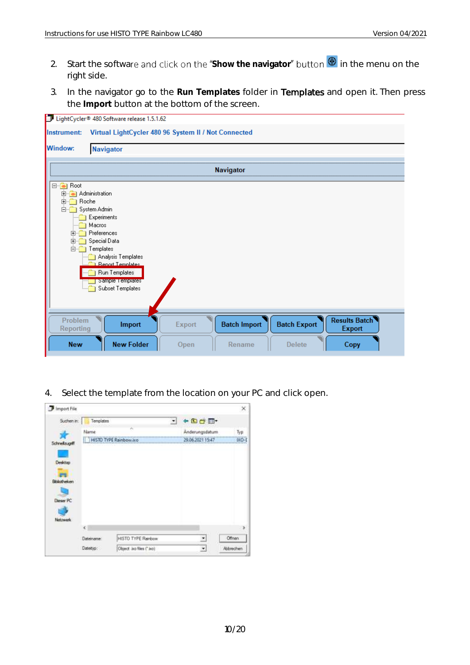- 2. Start the software and click on the "Show the navigator" button **<sup>®</sup>** in the menu on the right side.
- 3. In the navigator go to the **Run Templates** folder in Templates and open it. Then press the **Import** button at the bottom of the screen.

| m                                                                                                           | LightCycler® 480 Software release 1.5.1.62                                                                                                                                                                        |        |                     |                     |                                       |
|-------------------------------------------------------------------------------------------------------------|-------------------------------------------------------------------------------------------------------------------------------------------------------------------------------------------------------------------|--------|---------------------|---------------------|---------------------------------------|
| Instrument:                                                                                                 | Virtual LightCycler 480 96 System II / Not Connected                                                                                                                                                              |        |                     |                     |                                       |
| <b>Window:</b>                                                                                              | <b>Navigator</b>                                                                                                                                                                                                  |        |                     |                     |                                       |
|                                                                                                             |                                                                                                                                                                                                                   |        |                     |                     |                                       |
|                                                                                                             |                                                                                                                                                                                                                   |        | <b>Navigator</b>    |                     |                                       |
| ⊟ <sup></sup> <del>.</del> Root<br><b>Roche</b><br>$\boxed{+}$<br>F-<br>$\overline{+}$<br>田…<br><b>E</b> -1 | 由 -- Administration<br>System Admin<br>Experiments<br>Macros<br>Preferences<br>Special Data<br>Templates<br>Analysis Templates<br><b>Benot Templates</b><br>Run Templates<br>Sample Templates<br>Subset Templates |        |                     |                     |                                       |
| Problem<br>Reporting                                                                                        | Import                                                                                                                                                                                                            | Export | <b>Batch Import</b> | <b>Batch Export</b> | <b>Results Batch</b><br><b>Export</b> |
| <b>New</b>                                                                                                  | <b>New Folder</b>                                                                                                                                                                                                 | Open   | Rename              | <b>Delete</b>       | Copy                                  |

4. Select the template from the location on your PC and click open.

| Import File        |            |                               |           |                  | $^{\times}$ |
|--------------------|------------|-------------------------------|-----------|------------------|-------------|
| Suchen in:         | Templates  |                               | $\bullet$ | $\div$ Define    |             |
|                    | Name       | ×                             |           | Anderungsdatum   | Tуp         |
| Schneibugnff       |            | <b>HISTO TYPE Rainbow.ixo</b> |           | 29,06.2021 15:47 | $1-ON0$     |
|                    |            |                               |           |                  |             |
| Desktop            |            |                               |           |                  |             |
|                    |            |                               |           |                  |             |
| <b>Biskotheken</b> |            |                               |           |                  |             |
|                    |            |                               |           |                  |             |
| Deser PC           |            |                               |           |                  |             |
|                    |            |                               |           |                  |             |
| Netzwerk           |            |                               |           |                  |             |
|                    | ĸ          |                               |           |                  | ×           |
|                    | Dateiname: | HISTO TYPE Rainbow            |           | ×                | Offnen      |
|                    | Dateityp:  | Object. Joo files (" Joo)     |           | 兰                | Abbrechen   |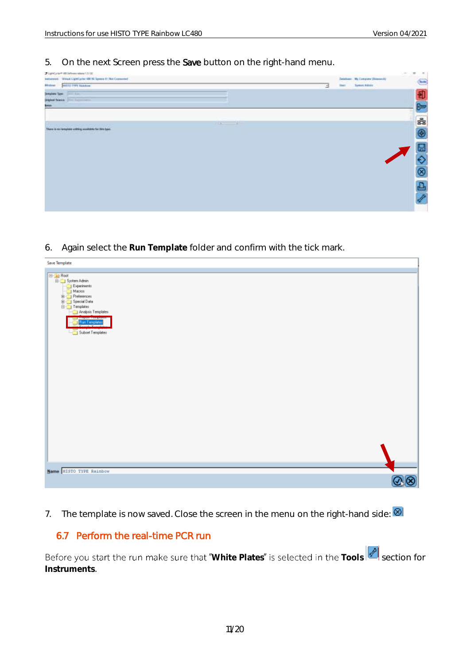5. On the next Screen press the Save button on the right-hand menu.



6. Again select the **Run Template** folder and confirm with the tick mark.

| Save Template                              |                |
|--------------------------------------------|----------------|
|                                            |                |
| <b>E-G</b> Root<br><b>E-G</b> System Admin |                |
| Experiments                                |                |
|                                            |                |
| Macros                                     |                |
| Analysis Templates                         |                |
| <b>Run Tenplates</b>                       |                |
|                                            |                |
| Subset Templates                           |                |
|                                            |                |
|                                            |                |
|                                            |                |
|                                            |                |
|                                            |                |
|                                            |                |
|                                            |                |
|                                            |                |
|                                            |                |
|                                            |                |
|                                            |                |
|                                            |                |
|                                            |                |
|                                            |                |
|                                            |                |
|                                            |                |
|                                            |                |
| Name HISTO TYPE Rainbow                    |                |
|                                            | $\circledcirc$ |

7. The template is now saved. Close the screen in the menu on the right-hand side:  $\circledR$ 

#### <span id="page-11-0"></span>6.7 Perform the real-time PCR run

Before you start the run make sure that "White Plates" is selected in the Tools section for **Instruments**.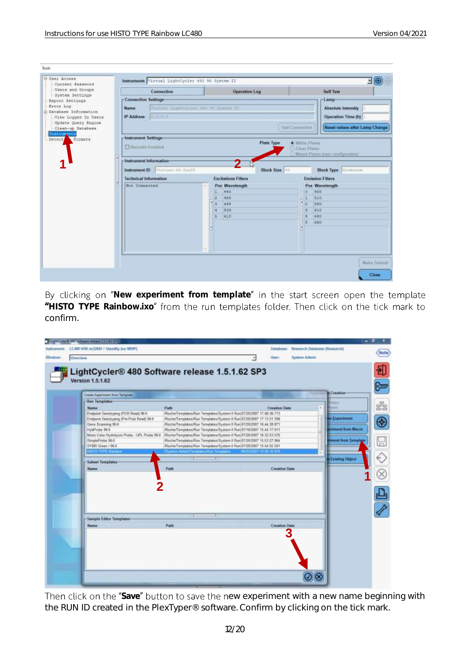| Users and Groups                                                                                                                                                                  | Connection                                                                                                                                                                                                                               | Operation Log                                                                                                                                                          | <b>Self Test</b>                                                                                                                                                                                                                                                                                                                                                        |
|-----------------------------------------------------------------------------------------------------------------------------------------------------------------------------------|------------------------------------------------------------------------------------------------------------------------------------------------------------------------------------------------------------------------------------------|------------------------------------------------------------------------------------------------------------------------------------------------------------------------|-------------------------------------------------------------------------------------------------------------------------------------------------------------------------------------------------------------------------------------------------------------------------------------------------------------------------------------------------------------------------|
| System Settings<br>Report Settings<br>Error Log<br>Database Information.<br>View Logged In Users<br>Update Query Engine<br>Clean-up Database<br>Instruments<br>Formats<br>Detect, | <b>Connection Settings</b><br>Name:<br>8,9,9,9<br>IP Address<br><b>Instrument Settings</b><br>El Barroda Enabled<br>-Instrument Information-<br>Instrument ID<br>Vistual-M-SysTI<br><b>Technical Information</b><br><b>Not Connected</b> | TITTING SIZERCYSTAN ATH NE System IT<br><b>Plate Type</b><br>Block Size<br><b>Excitations Filters</b><br>Pos Wavelength<br>440<br>465<br>490<br>553<br><b>E16</b><br>1 | Lamp-<br><b>Absolute Intensity</b><br>Operation Time (h)<br>Reset values after Lamp Change<br>Tash Cimnocities<br><b>C. White Plane</b><br>O Clear Pintes.<br>and the company<br>Mood Plates time configurable)<br><b>Block Type Allumanum</b><br><b>Emission Filters</b><br>Pos Wavelength<br>488<br>ĸ<br>810<br><b>Bao</b><br>1 z<br>410<br>в<br>640<br>×<br>640<br>в |

By clicking on "New experiment from template" in the start screen open the template "HISTO TYPE Rainbow.ixo" from the run templates folder. Then click on the tick mark to confirm.

|        | 1 Low Water E. 490 Suffered Information 1, 1992 For                                                  |                                                                                                                                                                                                                   |                          |                              | - 8          |
|--------|------------------------------------------------------------------------------------------------------|-------------------------------------------------------------------------------------------------------------------------------------------------------------------------------------------------------------------|--------------------------|------------------------------|--------------|
|        | Instrument: LC400 IE96 xn32041 / Standby (no MWP)                                                    |                                                                                                                                                                                                                   | Database:                | Research Database (Research) | <b>Soche</b> |
| Window | Owenniew                                                                                             |                                                                                                                                                                                                                   | <b>User:</b>             | <b>Sydney Admin</b>          |              |
|        | LightCycler® 480 Software release 1.5.1.62 SP3                                                       |                                                                                                                                                                                                                   |                          |                              |              |
|        | Version 1.5.1.62                                                                                     |                                                                                                                                                                                                                   |                          | <b>M</b> Creation-           |              |
|        | Create Experiment Rom Template                                                                       |                                                                                                                                                                                                                   |                          |                              |              |
|        | -Ron Templates-<br><b>Name</b>                                                                       | Path                                                                                                                                                                                                              | <b>Creation Date</b>     | i.                           | ś            |
|        | Endpoint Genutyping (PCR Read) 96-8<br>Endport Genstyping (Pre-Post Read) 96-8<br>Gene Scanning 96-8 | Roche/Templates/Run Templates/System II Run 07/20/2027 17:08:36 713<br>Roche/Templates/Run Templates/System II Run 07/20/2007 17:13:51:398<br>Roche/Templates/Run Templates/System ft Run 07/20/2007 16:44:36 871 |                          | <b>W Experiment</b>          | $\bigcirc$   |
|        | HybProbe 36-E                                                                                        | Roche/Templates/Run Templates/Bystem II Run 67/18/2007 15:44:17.911                                                                                                                                               |                          | <b>Infinent Stan Macro</b>   |              |
|        | Moro Color Hydrolysis Probe - UPI, Probe 96 E<br>SimileProbe 96-8<br>SYER Given   964                | :Roche/Templates/Run Templates/System II Run:07/20/2007 16:32:53.576<br>Roche/Templates-Run Templates/System II Run 87/20/2007 15:53:27 964<br>RochwTemptates Run Temptates/System II Run 67/20/2007 15:54:55:391 |                          | dmant from Tamptine          | 닖            |
|        | <b>STD TWEE Rand</b>                                                                                 | Sustem Advent emphasis Ros Templates                                                                                                                                                                              | <b>BUTNADT FURN IN B</b> | <b>Existing Object</b>       |              |
|        | - Subset Templates-<br><b>Marrie</b>                                                                 | Path                                                                                                                                                                                                              | <b>Creation Date</b>     |                              |              |
|        |                                                                                                      |                                                                                                                                                                                                                   |                          |                              |              |
|        |                                                                                                      |                                                                                                                                                                                                                   |                          |                              |              |
|        |                                                                                                      |                                                                                                                                                                                                                   |                          |                              |              |
|        |                                                                                                      |                                                                                                                                                                                                                   |                          |                              |              |
|        |                                                                                                      | <b>SAA</b><br>w                                                                                                                                                                                                   |                          |                              |              |
|        | Sample Editor Templates<br><b>Married</b>                                                            | <b>Path</b>                                                                                                                                                                                                       | <b>Creation Date</b>     |                              |              |
|        |                                                                                                      |                                                                                                                                                                                                                   |                          |                              |              |
|        |                                                                                                      |                                                                                                                                                                                                                   |                          |                              |              |
|        |                                                                                                      |                                                                                                                                                                                                                   |                          |                              |              |
|        |                                                                                                      |                                                                                                                                                                                                                   |                          |                              |              |
|        |                                                                                                      |                                                                                                                                                                                                                   |                          |                              |              |
|        |                                                                                                      |                                                                                                                                                                                                                   |                          |                              |              |
|        |                                                                                                      |                                                                                                                                                                                                                   |                          |                              |              |

Then click on the "Save" button to save the new experiment with a new name beginning with the RUN ID created in the PlexTyper® software. Confirm by clicking on the tick mark.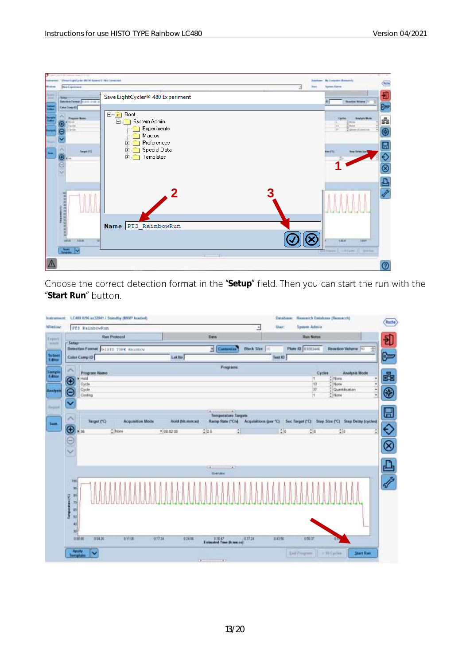

Choose the correct detection format in the "Setup" field. Then you can start the run with the "Start Run" button.

| <b>UTI RainbowRun</b>                      |                                     |                   |                                                             | <b>USer:</b><br>×                       | <b>System Admin</b>      |                                            |   |
|--------------------------------------------|-------------------------------------|-------------------|-------------------------------------------------------------|-----------------------------------------|--------------------------|--------------------------------------------|---|
|                                            | <b>Run Protocol</b>                 |                   | Data                                                        |                                         | <b>Ham Notes</b>         |                                            |   |
| Senap-                                     | Detection Format HISTO TYPE Rainbow |                   | <b>F</b> Costoniae                                          | Block Size                              | Plate 10- 03183446       | Reaction Volume 10                         | 곺 |
| <b>Caller Comp ID</b>                      |                                     | Lot No.           |                                                             | Test ID                                 |                          |                                            |   |
|                                            |                                     |                   | Programs                                                    |                                         |                          |                                            |   |
| Program Name<br>$\blacktriangleright$ Held |                                     |                   |                                                             |                                         | T                        | <b>Analysis Mode</b><br>Cycles<br>$2$ Nane |   |
| O<br>Cycle                                 |                                     |                   |                                                             |                                         | (12)                     | $"$ Nene                                   | Ψ |
| Cycle<br>$\overline{\mathsf{e}}$           |                                     |                   |                                                             |                                         | $\overline{37}$          | <sup>4</sup> Quartification                | 니 |
| Costing                                    |                                     |                   |                                                             |                                         | Ħ                        | $2$ Name                                   | ۷ |
| Y                                          |                                     |                   |                                                             |                                         |                          |                                            |   |
|                                            |                                     |                   | $\overline{a}$<br><b>CALL</b><br><b>Temperature Targets</b> |                                         |                          |                                            |   |
| Target (°C)                                | <b>Acquisition Mode</b>             | Téléd (filmminal) | <b>Ramp Rate ("C/v)</b>                                     | Acquisitions (per "C) : Sec Target ("C) |                          | Stop Size (°C) Step Delay (cycles)         |   |
| $\circ$<br>+ 96                            | 2116m                               | $+ 40.0200$       | 225                                                         | ÷.                                      | $\frac{1}{2}$ d<br>$+10$ | 250                                        |   |
|                                            |                                     |                   |                                                             |                                         |                          |                                            |   |
|                                            |                                     |                   |                                                             |                                         |                          |                                            |   |
| $\frac{1}{2}$                              |                                     |                   |                                                             |                                         |                          |                                            |   |
|                                            |                                     |                   |                                                             |                                         |                          |                                            |   |
|                                            |                                     |                   | $\sim$                                                      |                                         |                          |                                            |   |
|                                            |                                     |                   | <b>ClearyMan</b>                                            |                                         |                          |                                            |   |
| VIII                                       |                                     |                   |                                                             |                                         |                          |                                            |   |
| 同                                          |                                     |                   |                                                             |                                         |                          |                                            |   |
| 群                                          |                                     |                   |                                                             |                                         |                          |                                            |   |
| Tamperstress (T2)<br>70                    |                                     |                   |                                                             |                                         |                          |                                            |   |
| 40                                         |                                     |                   |                                                             |                                         |                          |                                            |   |
| 51                                         |                                     |                   |                                                             |                                         |                          |                                            |   |
| 45                                         |                                     |                   |                                                             |                                         |                          |                                            |   |
|                                            |                                     |                   |                                                             |                                         |                          |                                            |   |
| 30                                         |                                     |                   |                                                             |                                         |                          |                                            |   |
| 0:00.00<br>0.05526                         | <b>RIFOR</b>                        | 01734<br>924.06   | Estuarted Time Di macost                                    | 243.56<br>0.37.24                       | 100 TO                   | a <sub>0</sub>                             |   |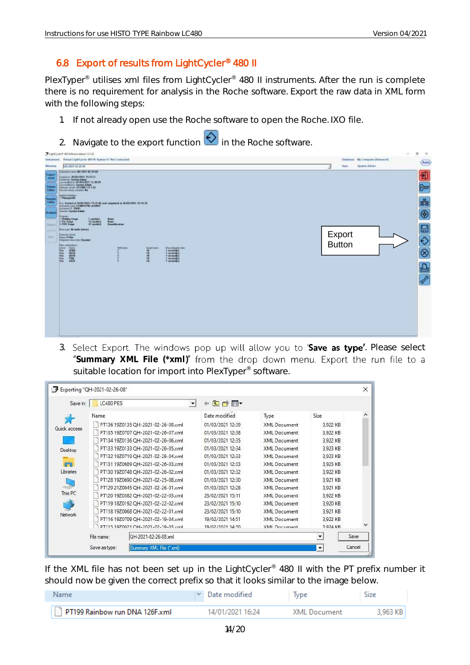## <span id="page-14-0"></span>6.8 Export of results from LightCycler® 480 II

PlexTyper<sup>®</sup> utilises xml files from LightCycler<sup>®</sup> 480 II instruments. After the run is complete there is no requirement for analysis in the Roche software. Export the raw data in XML form with the following steps:

- 1. If not already open use the Roche software to open the Roche. IXO file.
- 2. Navigate to the export function  $\bigotimes$  in the Roche software.

|                                                        | U-LipsCycle+ 48 School place U.152                                                                                                                                                                                       | $\sim$<br>n<br>38                                                                                           |
|--------------------------------------------------------|--------------------------------------------------------------------------------------------------------------------------------------------------------------------------------------------------------------------------|-------------------------------------------------------------------------------------------------------------|
| Western.                                               | Instrument. Virtual LightEpcks 800 ftl. System (C/Rol Corporated)<br>01/07/18 26:08                                                                                                                                      | <b>Balakasa: My Computer (Roscatch)</b><br>(Roche)<br><b>System Adeles</b><br><b>Liver</b><br>$\mathcal{A}$ |
|                                                        | Listenbert now 18th 2021 Kill 26-89                                                                                                                                                                                      |                                                                                                             |
| Expert<br>-<br>$\sim$<br><b>Sales</b><br><b>EVROLE</b> | Disastor 26/00/1001 15:15 11<br>Lineachy System Administration 12:36 MHz<br>List toolbad by EEASDORED 12:36 MHz<br>List toolbad by System Admin<br><b>Industry of the EXAM LK LAP</b><br>Favora basic consider <b>So</b> | 刊<br>$\approx$                                                                                              |
| _                                                      | <b>Partiet vessers</b>                                                                                                                                                                                                   |                                                                                                             |
| <b>Stand</b><br>Action                                 | <b>CONTRACTOR CONTRACTOR</b><br>For Transact at Distribution 19, 19, 40 and completed at 24,000,000 1 (6.14.25) minimizes (2,180,070) in 2000.<br>Sunney 10, 2004)<br>Towns System Adam                                  | 素                                                                                                           |
| Analysis                                               |                                                                                                                                                                                                                          | $^{\circledR}$                                                                                              |
|                                                        | <b>Program</b><br>O Helderg Timer<br>Tapeleda)<br>13 Godini -<br>in.<br>FW-55ear<br>37 spokes 1                                                                                                                          |                                                                                                             |
| <b>Report</b>                                          | 1. PUR Sheps<br>The Corporation<br>Standard Milwells (Mirrel)                                                                                                                                                            | $\blacksquare$                                                                                              |
| <b>Sept.</b>                                           | <b>BinoSyderal</b><br><b>Rock SPMs</b>                                                                                                                                                                                   | Export                                                                                                      |
|                                                        | hing and mentals. Danase:                                                                                                                                                                                                | <b>Button</b>                                                                                               |
|                                                        | <b>TRE contribution</b><br>74,646<br><b>TATION</b><br>Maximpatriana<br>1 setendid<br><b>Bullet Cherry</b><br>n.                                                                                                          | $\frac{1}{\infty}$                                                                                          |
|                                                        | <b>HARRY</b><br>3838<br>保護保護<br>1 incomedia)<br>1 second d                                                                                                                                                               |                                                                                                             |
|                                                        | I consider<br>1 minutes                                                                                                                                                                                                  |                                                                                                             |
|                                                        | m<br>o pro                                                                                                                                                                                                               | 凸                                                                                                           |
|                                                        |                                                                                                                                                                                                                          |                                                                                                             |
|                                                        |                                                                                                                                                                                                                          |                                                                                                             |
|                                                        |                                                                                                                                                                                                                          |                                                                                                             |
|                                                        |                                                                                                                                                                                                                          |                                                                                                             |
|                                                        |                                                                                                                                                                                                                          |                                                                                                             |
|                                                        |                                                                                                                                                                                                                          |                                                                                                             |
|                                                        |                                                                                                                                                                                                                          |                                                                                                             |
|                                                        |                                                                                                                                                                                                                          |                                                                                                             |
|                                                        |                                                                                                                                                                                                                          |                                                                                                             |
|                                                        |                                                                                                                                                                                                                          |                                                                                                             |

3. Select Export. The windows pop up will allow you to 'Save as type'. Please select "Summary XML File (\*xml)" from the drop down menu. Export the run file to a suitable location for import into PlexTyper® software.

| Save in:       | LC480 PES  |                                    | 白び雨              |                     |                          |      |
|----------------|------------|------------------------------------|------------------|---------------------|--------------------------|------|
|                | Name       |                                    | Date modified    | Type                | Size                     |      |
| Quick access   |            | PT136 19Z0135 QH-2021-02-26-08.xml | 01/03/2021 12:39 | XML Document        | 3,922 KB                 |      |
|                |            | PT135 19Z0707 QH-2021-02-26-07.xml | 01/03/2021 12:38 | <b>XML</b> Document | 3,922 KB                 |      |
|                |            | PT134 19Z0136 QH-2021-02-26-06.xml | 01/03/2021 12:35 | <b>XML</b> Document | 3,922 KB                 |      |
| Desktop        |            | PT133 19Z0133 QH-2021-02-26-05.xml | 01/03/2021 12:34 | XML Document        | 3,923 KB                 |      |
|                |            | PT132 19Z0719 OH-2021-02-26-04.xml | 01/03/2021 12:33 | XML Document        | 3,923 KB                 |      |
|                |            | PT131 19Z0689 QH-2021-02-26-03.xml | 01/03/2021 12:33 | <b>XML</b> Document | 3,923 KB                 |      |
| Libraries      |            | PT130 19Z0748 QH-2021-02-26-02.xml | 01/03/2021 12:32 | XML Document        | 3,922 KB                 |      |
|                |            | PT128 19Z0690 OH-2021-02-25-08.xml | 01/03/2021 12:30 | <b>XML</b> Document | 3.921 KB                 |      |
|                |            | PT129 21Z0045 QH-2021-02-26-01.xml | 01/03/2021 12:28 | XML Document        | 3.921 KB                 |      |
| This PC        |            | PT120 19Z0382 QH-2021-02-22-03.xml | 23/02/2021 15:11 | XML Document        | 3,922 KB                 |      |
|                |            | PT119 18Z0192 OH-2021-02-22-02.xml | 23/02/2021 15:10 | XMI Document        | 3,920 KB                 |      |
| <b>Network</b> |            | PT118 19Z0068 QH-2021-02-22-01.xml | 23/02/2021 15:10 | XML Document        | 3,921 KB                 |      |
|                |            | PT116 19Z0709 QH-2021-02-19-04.xml | 19/02/2021 14:51 | <b>XML</b> Document | 3,922 KB                 |      |
|                |            | DT115 1070021 OH-2021-02-10-03 vml | 19/02/2021 14-50 | <b>XMI Document</b> | 3 924 KR                 |      |
|                | File name: | QH-2021-02-26-08.xml               |                  |                     | $\overline{\phantom{a}}$ | Save |

If the XML file has not been set up in the LightCycler<sup>®</sup> 480 II with the PT prefix number it should now be given the correct prefix so that it looks similar to the image below.

| <b>Name</b>                    | $\vee$ Date modified | Type                | Size     |
|--------------------------------|----------------------|---------------------|----------|
| PT199 Rainbow run DNA 126F.xml | 14/01/2021 16:24     | <b>XML Document</b> | 3.963 KB |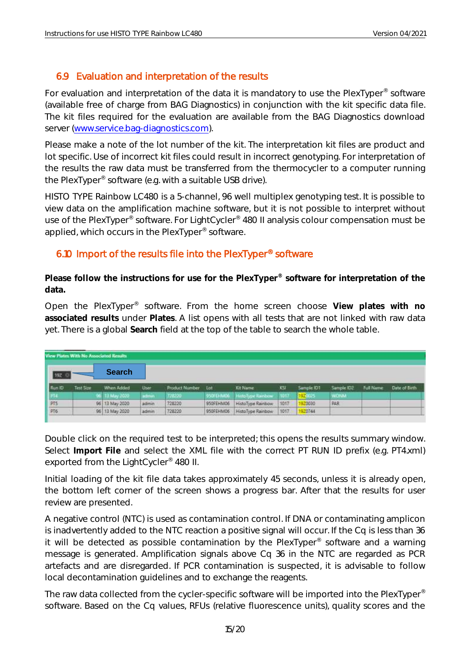## <span id="page-15-0"></span>6.9 Evaluation and interpretation of the results

For evaluation and interpretation of the data it is mandatory to use the PlexTyper<sup>®</sup> software (available free of charge from BAG Diagnostics) in conjunction with the kit specific data file. The kit files required for the evaluation are available from the BAG Diagnostics download server [\(www.service.bag-diagnostics.com\)](http://www.service.bag-diagnostics.com/).

Please make a note of the lot number of the kit. The interpretation kit files are product and lot specific. Use of incorrect kit files could result in incorrect genotyping. For interpretation of the results the raw data must be transferred from the thermocycler to a computer running the PlexTyper® software (e.g. with a suitable USB drive).

HISTO TYPE Rainbow LC480 is a 5-channel, 96 well multiplex genotyping test. It is possible to view data on the amplification machine software, but it is not possible to interpret without use of the PlexTyper® software. For LightCycler® 480 II analysis colour compensation must be applied, which occurs in the PlexTyper<sup>®</sup> software.

## <span id="page-15-1"></span>6.10 Import of the results file into the PlexTyper® software

**Please follow the instructions for use for the PlexTyper® software for interpretation of the data.**

Open the PlexTyper® software. From the home screen choose **View plates with no associated results** under **Plates**. A list opens with all tests that are not linked with raw data yet. There is a global **Search** field at the top of the table to search the whole table.

|                               | View Plates With No Associated Results |                |             |                |           |                    |          |            |            |                  |               |
|-------------------------------|----------------------------------------|----------------|-------------|----------------|-----------|--------------------|----------|------------|------------|------------------|---------------|
| 192 %                         |                                        | <b>Search</b>  |             |                |           |                    |          |            |            |                  |               |
| Flum ID                       | Test Score                             | When Added     | <b>User</b> | Product Number | Lot       | <b>Kit Name</b>    | 35       | Sample IDT | Sample ID2 | <b>Full Name</b> | Date of Birth |
| 1.774                         |                                        | 66 13 May 2020 | admin       | 7212230        | 950FEHM06 | HittoType Rainbow  | . 1017 . | 192003     | WONA.      |                  |               |
| $rac{\text{prs}}{\text{prs}}$ |                                        | 96 13 May 2020 | admin       | 728220         | 950FEHM06 | HistoType Rainbow  | 1017     | 920030     | <b>PAR</b> |                  |               |
|                               |                                        | 96 13 May 2020 | admin       | 728220         | 950FEHM06 | Histo Type Rainbow | 1017     | 920744     |            |                  |               |

Double click on the required test to be interpreted; this opens the results summary window. Select **Import File** and select the XML file with the correct PT RUN ID prefix (e.g. PT4.xml) exported from the LightCycler® 480 II.

Initial loading of the kit file data takes approximately 45 seconds, unless it is already open, the bottom left corner of the screen shows a progress bar. After that the results for user review are presented.

A negative control (NTC) is used as contamination control. If DNA or contaminating amplicon is inadvertently added to the NTC reaction a positive signal will occur. If the Cq is less than 36 it will be detected as possible contamination by the PlexTyper<sup>®</sup> software and a warning message is generated. Amplification signals above Cq 36 in the NTC are regarded as PCR artefacts and are disregarded. If PCR contamination is suspected, it is advisable to follow local decontamination guidelines and to exchange the reagents.

The raw data collected from the cycler-specific software will be imported into the PlexTyper® software. Based on the Cq values, RFUs (relative fluorescence units), quality scores and the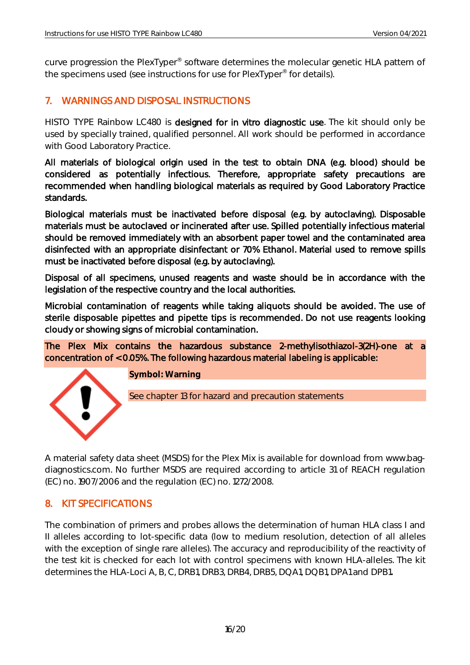curve progression the PlexTyper® software determines the molecular genetic HLA pattern of the specimens used (see instructions for use for PlexTyper<sup>®</sup> for details).

## <span id="page-16-0"></span>7. WARNINGS AND DISPOSAL INSTRUCTIONS

HISTO TYPE Rainbow LC480 is designed for in vitro diagnostic use. The kit should only be used by specially trained, qualified personnel. All work should be performed in accordance with Good Laboratory Practice.

All materials of biological origin used in the test to obtain DNA (e.g. blood) should be considered as potentially infectious. Therefore, appropriate safety precautions are recommended when handling biological materials as required by Good Laboratory Practice standards.

Biological materials must be inactivated before disposal (e.g. by autoclaving). Disposable materials must be autoclaved or incinerated after use. Spilled potentially infectious material should be removed immediately with an absorbent paper towel and the contaminated area disinfected with an appropriate disinfectant or 70% Ethanol. Material used to remove spills must be inactivated before disposal (e.g. by autoclaving).

Disposal of all specimens, unused reagents and waste should be in accordance with the legislation of the respective country and the local authorities.

Microbial contamination of reagents while taking aliquots should be avoided. The use of sterile disposable pipettes and pipette tips is recommended. Do not use reagents looking cloudy or showing signs of microbial contamination.

The Plex Mix contains the hazardous substance 2-methylisothiazol-3(2H)-one at a concentration of < 0.05%. The following hazardous material labeling is applicable:



**Symbol: Warning**

See chapter 13 for hazard and precaution statements

A material safety data sheet (MSDS) for the Plex Mix is available for download from [www.bag](http://www.bag-diagnostics.com/)[diagnostics.com.](http://www.bag-diagnostics.com/) No further MSDS are required according to article 31 of REACH regulation (EC) no. 1907/2006 and the regulation (EC) no. 1272/2008.

## <span id="page-16-1"></span>8. KIT SPECIFICATIONS

<span id="page-16-2"></span>The combination of primers and probes allows the determination of human HLA class I and II alleles according to lot-specific data (low to medium resolution, detection of all alleles with the exception of single rare alleles). The accuracy and reproducibility of the reactivity of the test kit is checked for each lot with control specimens with known HLA-alleles. The kit determines the HLA-Loci A, B, C, DRB1, DRB3, DRB4, DRB5, DQA1, DQB1, DPA1 and DPB1**.**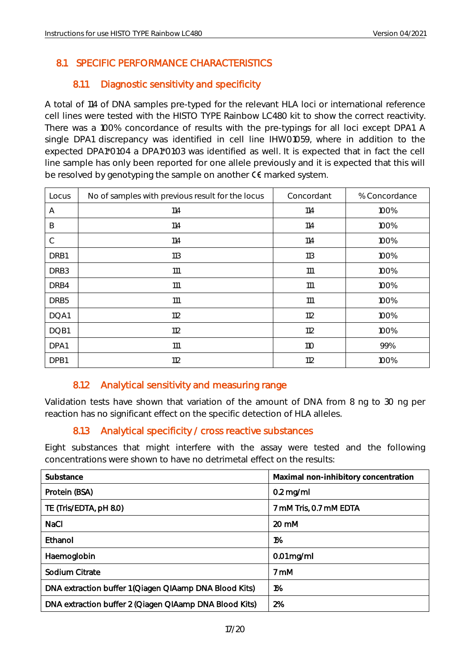## 8.1 SPECIFIC PERFORMANCE CHARACTERISTICS

## 8.1.1 Diagnostic sensitivity and specificity

<span id="page-17-0"></span>A total of 114 of DNA samples pre-typed for the relevant HLA loci or international reference cell lines were tested with the HISTO TYPE Rainbow LC480 kit to show the correct reactivity. There was a 100% concordance of results with the pre-typings for all loci except DPA1. A single DPA1 discrepancy was identified in cell line IHW01059, where in addition to the expected DPA1\*01:04 a DPA1\*01:03 was identified as well. It is expected that in fact the cell line sample has only been reported for one allele previously and it is expected that this will be resolved by genotyping the sample on another  $C \epsilon$  marked system.

| Locus            | No of samples with previous result for the locus | Concordant | % Concordance |
|------------------|--------------------------------------------------|------------|---------------|
| Α                | 114                                              | 114        | 100%          |
| B                | 114                                              | 114        | 100%          |
| $\mathsf{C}$     | 114                                              | 114        | 100%          |
| DRB1             | 113                                              | 113        | 100%          |
| DRB <sub>3</sub> | 111                                              | 111        | 100%          |
| DRB4             | 111                                              | 111        | 100%          |
| DRB <sub>5</sub> | 111                                              | 111        | 100%          |
| DQA1             | 112                                              | 112        | 100%          |
| DQB1             | 112                                              | 112        | 100%          |
| DPA1             | 111                                              | <b>110</b> | 99%           |
| DPB1             | 112                                              | 112        | 100%          |

## 8.1.2 Analytical sensitivity and measuring range

<span id="page-17-1"></span>Validation tests have shown that variation of the amount of DNA from 8 ng to 30 ng per reaction has no significant effect on the specific detection of HLA alleles.

## 8.1.3 Analytical specificity / cross reactive substances

<span id="page-17-2"></span>Eight substances that might interfere with the assay were tested and the following concentrations were shown to have no detrimetal effect on the results:

| Substance                                              | Maximal non-inhibitory concentration |
|--------------------------------------------------------|--------------------------------------|
| Protein (BSA)                                          | $0.2$ mg/ml                          |
| TE (Tris/EDTA, pH 8.0)                                 | 7 mM Tris, 0.7 mM EDTA               |
| <b>NaCl</b>                                            | 20 mM                                |
| Ethanol                                                | 1%                                   |
| Haemoglobin                                            | $0.01$ mg/ml                         |
| Sodium Citrate                                         | 7 mM                                 |
| DNA extraction buffer 1 (Qiagen QIAamp DNA Blood Kits) | 1%                                   |
| DNA extraction buffer 2 (Qiagen QIAamp DNA Blood Kits) | 2%                                   |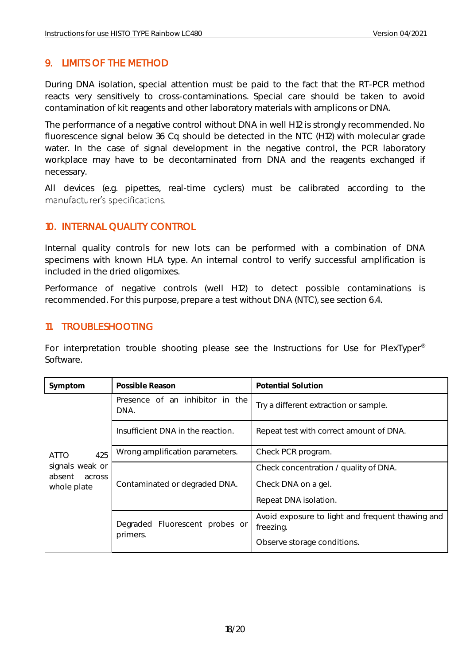## <span id="page-18-0"></span>9. LIMITS OF THE METHOD

During DNA isolation, special attention must be paid to the fact that the RT-PCR method reacts very sensitively to cross-contaminations. Special care should be taken to avoid contamination of kit reagents and other laboratory materials with amplicons or DNA.

The performance of a negative control without DNA in well H12 is strongly recommended. No fluorescence signal below 36 Cq should be detected in the NTC (H12) with molecular grade water. In the case of signal development in the negative control, the PCR laboratory workplace may have to be decontaminated from DNA and the reagents exchanged if necessary.

All devices (e.g. pipettes, real-time cyclers) must be calibrated according to the manufacturer's specifications.

## <span id="page-18-1"></span>10. INTERNAL QUALITY CONTROL

Internal quality controls for new lots can be performed with a combination of DNA specimens with known HLA type. An internal control to verify successful amplification is included in the dried oligomixes.

Performance of negative controls (well H12) to detect possible contaminations is recommended. For this purpose, prepare a test without DNA (NTC), see section 6.4.

#### <span id="page-18-2"></span>11. TROUBLESHOOTING

For interpretation trouble shooting please see the Instructions for Use for PlexTyper<sup>®</sup> Software.

| Symptom                                                   | Possible Reason                         | Potential Solution                                            |
|-----------------------------------------------------------|-----------------------------------------|---------------------------------------------------------------|
|                                                           | Presence of an inhibitor in the<br>DNA. | Try a different extraction or sample.                         |
|                                                           | Insufficient DNA in the reaction.       | Repeat test with correct amount of DNA.                       |
| 425<br><b>ATTO</b><br>signals weak or<br>absent<br>across | Wrong amplification parameters.         | Check PCR program.                                            |
|                                                           |                                         | Check concentration / quality of DNA.                         |
| whole plate                                               | Contaminated or degraded DNA.           | Check DNA on a gel.                                           |
|                                                           |                                         | Repeat DNA isolation.                                         |
|                                                           | Degraded Fluorescent probes or          | Avoid exposure to light and frequent thawing and<br>freezing. |
|                                                           | primers.                                | Observe storage conditions.                                   |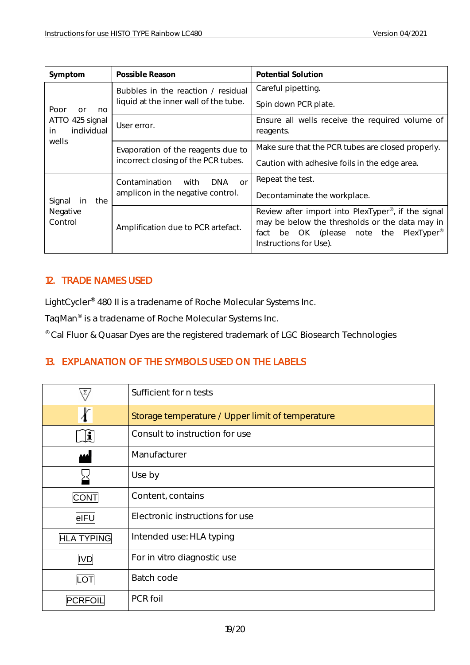| Symptom                             | Possible Reason                                  | Potential Solution                                                                                                                                                                                      |
|-------------------------------------|--------------------------------------------------|---------------------------------------------------------------------------------------------------------------------------------------------------------------------------------------------------------|
|                                     | Bubbles in the reaction / residual               | Careful pipetting.                                                                                                                                                                                      |
| Poor<br>no<br>n                     | liquid at the inner wall of the tube.            | Spin down PCR plate.                                                                                                                                                                                    |
| ATTO 425 signal<br>individual<br>in | User error.                                      | Ensure all wells receive the required volume of<br>reagents.                                                                                                                                            |
| wells                               | Evaporation of the reagents due to               | Make sure that the PCR tubes are closed properly.                                                                                                                                                       |
|                                     | incorrect closing of the PCR tubes.              | Caution with adhesive foils in the edge area.                                                                                                                                                           |
|                                     | Contamination<br><b>DNA</b><br>with<br><b>or</b> | Repeat the test.                                                                                                                                                                                        |
| Signal<br>the<br>in                 | amplicon in the negative control.                | Decontaminate the workplace.                                                                                                                                                                            |
| Negative<br>Control                 | Amplification due to PCR artefact.               | Review after import into PlexTyper <sup>®</sup> , if the signal<br>may be below the thresholds or the data may in<br>OK (please note the PlexTyper <sup>®</sup><br>fact<br>be<br>Instructions for Use). |

## <span id="page-19-0"></span>12. TRADE NAMES USED

LightCycler® 480 II is a tradename of Roche Molecular Systems Inc.

TaqMan® is a tradename of Roche Molecular Systems Inc.

® Cal Fluor & Quasar Dyes are the registered trademark of LGC Biosearch Technologies

## <span id="page-19-1"></span>13. EXPLANATION OF THE SYMBOLS USED ON THE LABELS

|                   | Sufficient for n tests                           |
|-------------------|--------------------------------------------------|
| ł                 | Storage temperature / Upper limit of temperature |
| $\mathbf{r}$      | Consult to instruction for use                   |
| MA                | Manufacturer                                     |
|                   | Use by                                           |
| <b>CONT</b>       | Content, contains                                |
| eIFU              | Electronic instructions for use                  |
| <b>HLA TYPING</b> | Intended use: HLA typing                         |
| <b>IVD</b>        | For in vitro diagnostic use                      |
| LOT               | Batch code                                       |
| <b>PCRFO</b>      | PCR foil                                         |